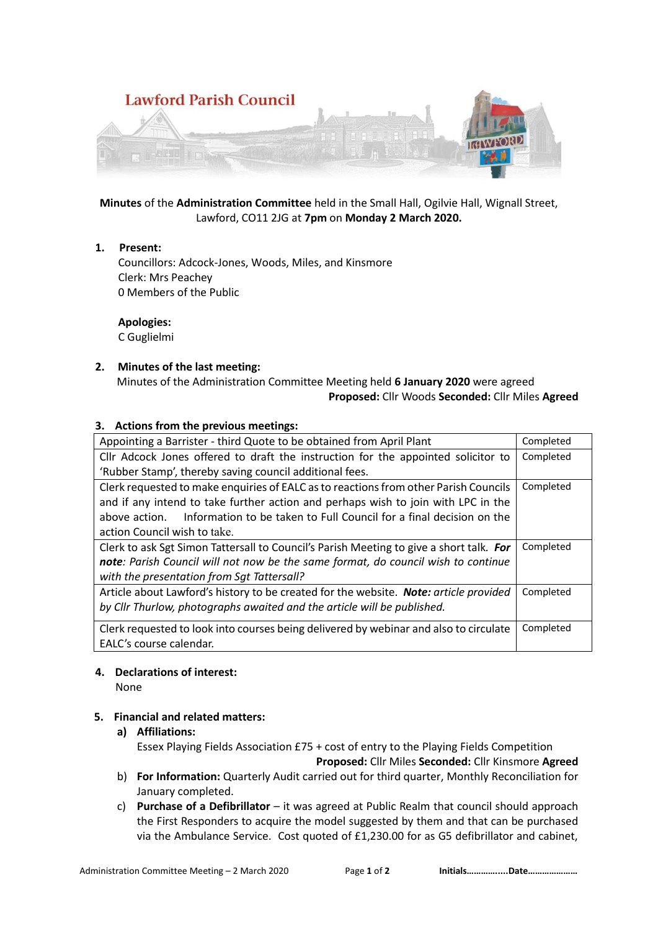

**Minutes** of the **Administration Committee** held in the Small Hall, Ogilvie Hall, Wignall Street, Lawford, CO11 2JG at **7pm** on **Monday 2 March 2020.**

#### **1. Present:**

 Councillors: Adcock-Jones, Woods, Miles, and Kinsmore Clerk: Mrs Peachey 0 Members of the Public

# **Apologies:**

C Guglielmi

#### **2. Minutes of the last meeting:**

Minutes of the Administration Committee Meeting held **6 January 2020** were agreed

### **Proposed:** Cllr Woods **Seconded:** Cllr Miles **Agreed**

#### **3. Actions from the previous meetings:**

| Appointing a Barrister - third Quote to be obtained from April Plant                    | Completed |
|-----------------------------------------------------------------------------------------|-----------|
| Cllr Adcock Jones offered to draft the instruction for the appointed solicitor to       | Completed |
| 'Rubber Stamp', thereby saving council additional fees.                                 |           |
| Clerk requested to make enquiries of EALC as to reactions from other Parish Councils    | Completed |
| and if any intend to take further action and perhaps wish to join with LPC in the       |           |
| Information to be taken to Full Council for a final decision on the<br>above action.    |           |
| action Council wish to take.                                                            |           |
| Clerk to ask Sgt Simon Tattersall to Council's Parish Meeting to give a short talk. For | Completed |
| note: Parish Council will not now be the same format, do council wish to continue       |           |
| with the presentation from Sqt Tattersall?                                              |           |
| Article about Lawford's history to be created for the website. Note: article provided   | Completed |
| by Cllr Thurlow, photographs awaited and the article will be published.                 |           |
| Clerk requested to look into courses being delivered by webinar and also to circulate   | Completed |
| EALC's course calendar.                                                                 |           |

#### **4. Declarations of interest:**

None

#### **5. Financial and related matters:**

- **a) Affiliations:**  Essex Playing Fields Association £75 + cost of entry to the Playing Fields Competition **Proposed:** Cllr Miles **Seconded:** Cllr Kinsmore **Agreed**
- b) **For Information:** Quarterly Audit carried out for third quarter, Monthly Reconciliation for January completed.
- c) **Purchase of a Defibrillator** it was agreed at Public Realm that council should approach the First Responders to acquire the model suggested by them and that can be purchased via the Ambulance Service. Cost quoted of £1,230.00 for as G5 defibrillator and cabinet,